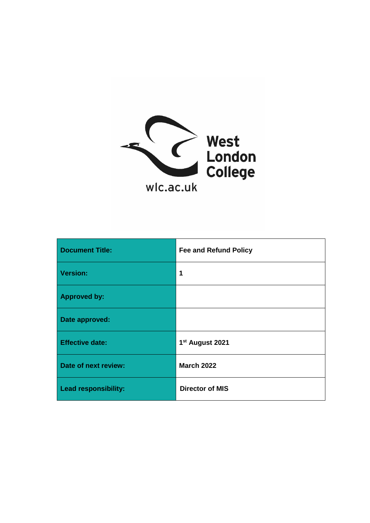

| <b>Document Title:</b>      | <b>Fee and Refund Policy</b> |
|-----------------------------|------------------------------|
| <b>Version:</b>             | 1                            |
| <b>Approved by:</b>         |                              |
| Date approved:              |                              |
| <b>Effective date:</b>      | 1 <sup>st</sup> August 2021  |
| Date of next review:        | <b>March 2022</b>            |
| <b>Lead responsibility:</b> | <b>Director of MIS</b>       |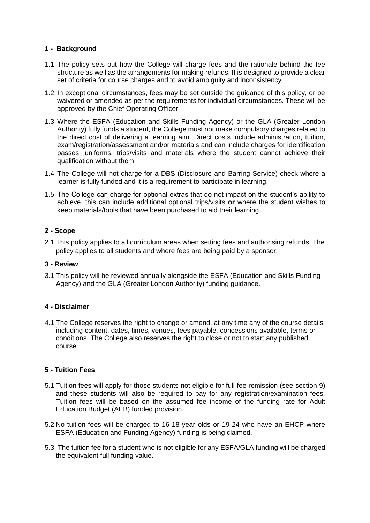## **1 - Background**

- 1.1 The policy sets out how the College will charge fees and the rationale behind the fee structure as well as the arrangements for making refunds. It is designed to provide a clear set of criteria for course charges and to avoid ambiguity and inconsistency
- 1.2 In exceptional circumstances, fees may be set outside the guidance of this policy, or be waivered or amended as per the requirements for individual circumstances. These will be approved by the Chief Operating Officer
- 1.3 Where the ESFA (Education and Skills Funding Agency) or the GLA (Greater London Authority) fully funds a student, the College must not make compulsory charges related to the direct cost of delivering a learning aim. Direct costs include administration, tuition, exam/registration/assessment and/or materials and can include charges for identification passes, uniforms, trips/visits and materials where the student cannot achieve their qualification without them.
- 1.4 The College will not charge for a DBS (Disclosure and Barring Service) check where a learner is fully funded and it is a requirement to participate in learning.
- 1.5 The College can charge for optional extras that do not impact on the student's ability to achieve, this can include additional optional trips/visits **or** where the student wishes to keep materials/tools that have been purchased to aid their learning

## **2 - Scope**

2.1 This policy applies to all curriculum areas when setting fees and authorising refunds. The policy applies to all students and where fees are being paid by a sponsor.

#### **3 - Review**

3.1 This policy will be reviewed annually alongside the ESFA (Education and Skills Funding Agency) and the GLA (Greater London Authority) funding quidance.

#### **4 - Disclaimer**

4.1 The College reserves the right to change or amend, at any time any of the course details including content, dates, times, venues, fees payable, concessions available, terms or conditions. The College also reserves the right to close or not to start any published course

#### **5 - Tuition Fees**

- 5.1 Tuition fees will apply for those students not eligible for full fee remission (see section 9) and these students will also be required to pay for any registration/examination fees. Tuition fees will be based on the assumed fee income of the funding rate for Adult Education Budget (AEB) funded provision.
- 5.2 No tuition fees will be charged to 16-18 year olds or 19-24 who have an EHCP where ESFA (Education and Funding Agency) funding is being claimed.
- 5.3 The tuition fee for a student who is not eligible for any ESFA/GLA funding will be charged the equivalent full funding value.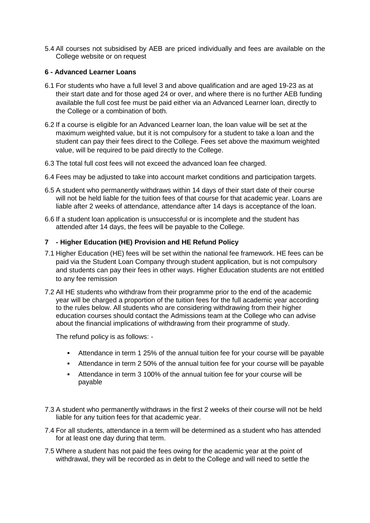5.4 All courses not subsidised by AEB are priced individually and fees are available on the College website or on request

## **6 - Advanced Learner Loans**

- 6.1 For students who have a full level 3 and above qualification and are aged 19-23 as at their start date and for those aged 24 or over, and where there is no further AEB funding available the full cost fee must be paid either via an Advanced Learner loan, directly to the College or a combination of both.
- 6.2 If a course is eligible for an Advanced Learner loan, the loan value will be set at the maximum weighted value, but it is not compulsory for a student to take a loan and the student can pay their fees direct to the College. Fees set above the maximum weighted value, will be required to be paid directly to the College.
- 6.3 The total full cost fees will not exceed the advanced loan fee charged.
- 6.4 Fees may be adjusted to take into account market conditions and participation targets.
- 6.5 A student who permanently withdraws within 14 days of their start date of their course will not be held liable for the tuition fees of that course for that academic year. Loans are liable after 2 weeks of attendance, attendance after 14 days is acceptance of the loan.
- 6.6 If a student loan application is unsuccessful or is incomplete and the student has attended after 14 days, the fees will be payable to the College.

#### **7 - Higher Education (HE) Provision and HE Refund Policy**

- 7.1 Higher Education (HE) fees will be set within the national fee framework. HE fees can be paid via the Student Loan Company through student application, but is not compulsory and students can pay their fees in other ways. Higher Education students are not entitled to any fee remission
- 7.2 All HE students who withdraw from their programme prior to the end of the academic year will be charged a proportion of the tuition fees for the full academic year according to the rules below. All students who are considering withdrawing from their higher education courses should contact the Admissions team at the College who can advise about the financial implications of withdrawing from their programme of study.

The refund policy is as follows: -

- Attendance in term 1 25% of the annual tuition fee for your course will be payable
- Attendance in term 2 50% of the annual tuition fee for your course will be payable
- Attendance in term 3 100% of the annual tuition fee for your course will be payable
- 7.3 A student who permanently withdraws in the first 2 weeks of their course will not be held liable for any tuition fees for that academic year.
- 7.4 For all students, attendance in a term will be determined as a student who has attended for at least one day during that term.
- 7.5 Where a student has not paid the fees owing for the academic year at the point of withdrawal, they will be recorded as in debt to the College and will need to settle the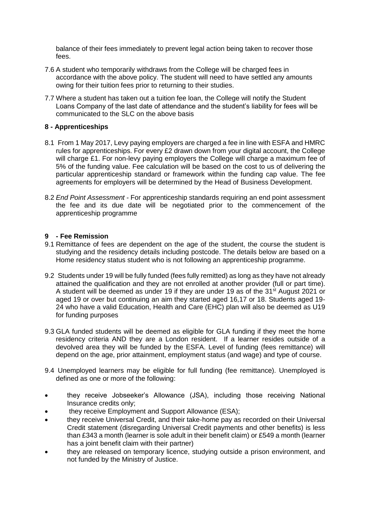balance of their fees immediately to prevent legal action being taken to recover those fees.

- 7.6 A student who temporarily withdraws from the College will be charged fees in accordance with the above policy. The student will need to have settled any amounts owing for their tuition fees prior to returning to their studies.
- 7.7 Where a student has taken out a tuition fee loan, the College will notify the Student Loans Company of the last date of attendance and the student's liability for fees will be communicated to the SLC on the above basis

#### **8 - Apprenticeships**

- 8.1 From 1 May 2017, Levy paying employers are charged a fee in line with ESFA and HMRC rules for apprenticeships. For every £2 drawn down from your digital account, the College will charge £1. For non-levy paying employers the College will charge a maximum fee of 5% of the funding value. Fee calculation will be based on the cost to us of delivering the particular apprenticeship standard or framework within the funding cap value. The fee agreements for employers will be determined by the Head of Business Development.
- 8.2 *End Point Assessment -* For apprenticeship standards requiring an end point assessment the fee and its due date will be negotiated prior to the commencement of the apprenticeship programme

#### **9 - Fee Remission**

- 9.1 Remittance of fees are dependent on the age of the student, the course the student is studying and the residency details including postcode. The details below are based on a Home residency status student who is not following an apprenticeship programme.
- 9.2 Students under 19 will be fully funded (fees fully remitted) as long as they have not already attained the qualification and they are not enrolled at another provider (full or part time). A student will be deemed as under 19 if they are under 19 as of the 31<sup>st</sup> August 2021 or aged 19 or over but continuing an aim they started aged 16,17 or 18. Students aged 19- 24 who have a valid Education, Health and Care (EHC) plan will also be deemed as U19 for funding purposes
- 9.3 GLA funded students will be deemed as eligible for GLA funding if they meet the home residency criteria AND they are a London resident. If a learner resides outside of a devolved area they will be funded by the ESFA. Level of funding (fees remittance) will depend on the age, prior attainment, employment status (and wage) and type of course.
- 9.4 Unemployed learners may be eligible for full funding (fee remittance). Unemployed is defined as one or more of the following:
- they receive Jobseeker's Allowance (JSA), including those receiving National Insurance credits only;
- they receive Employment and Support Allowance (ESA);
- they receive Universal Credit, and their take-home pay as recorded on their Universal Credit statement (disregarding Universal Credit payments and other benefits) is less than £343 a month (learner is sole adult in their benefit claim) or £549 a month (learner has a joint benefit claim with their partner)
- they are released on temporary licence, studying outside a prison environment, and not funded by the Ministry of Justice.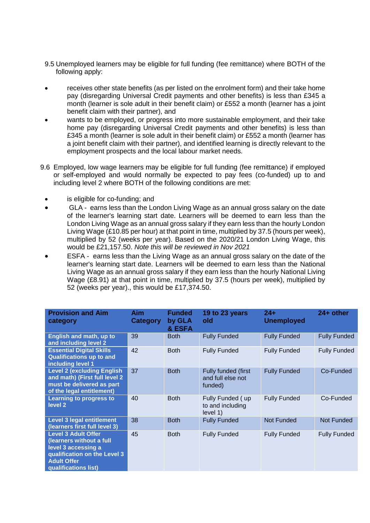- 9.5 Unemployed learners may be eligible for full funding (fee remittance) where BOTH of the following apply:
- receives other state benefits (as per listed on the enrolment form) and their take home pay (disregarding Universal Credit payments and other benefits) is less than £345 a month (learner is sole adult in their benefit claim) or £552 a month (learner has a joint benefit claim with their partner), and
- wants to be employed, or progress into more sustainable employment, and their take home pay (disregarding Universal Credit payments and other benefits) is less than £345 a month (learner is sole adult in their benefit claim) or £552 a month (learner has a joint benefit claim with their partner), and identified learning is directly relevant to the employment prospects and the local labour market needs.
- 9.6 Employed, low wage learners may be eligible for full funding (fee remittance) if employed or self-employed and would normally be expected to pay fees (co-funded) up to and including level 2 where BOTH of the following conditions are met:
	- is eligible for co-funding; and
	- GLA earns less than the London Living Wage as an annual gross salary on the date of the learner's learning start date. Learners will be deemed to earn less than the London Living Wage as an annual gross salary if they earn less than the hourly London Living Wage  $(E10.85$  per hour) at that point in time, multiplied by 37.5 (hours per week), multiplied by 52 (weeks per year). Based on the 2020/21 London Living Wage, this would be £21,157.50. *Note this will be reviewed in Nov 2021*
	- ESFA earns less than the Living Wage as an annual gross salary on the date of the learner's learning start date. Learners will be deemed to earn less than the National Living Wage as an annual gross salary if they earn less than the hourly National Living Wage (£8.91) at that point in time, multiplied by 37.5 (hours per week), multiplied by 52 (weeks per year)., this would be £17,374.50.

| <b>Provision and Aim</b><br>category                                                                                                                        | Aim<br>Category | <b>Funded</b><br>by GLA<br>& ESFA | 19 to 23 years<br>old                               | 24+<br><b>Unemployed</b> | 24+ other           |
|-------------------------------------------------------------------------------------------------------------------------------------------------------------|-----------------|-----------------------------------|-----------------------------------------------------|--------------------------|---------------------|
| English and math, up to<br>and including level 2                                                                                                            | 39              | <b>Both</b>                       | <b>Fully Funded</b>                                 | <b>Fully Funded</b>      | <b>Fully Funded</b> |
| <b>Essential Digital Skills</b><br><b>Qualifications up to and</b><br>including level 1                                                                     | 42              | <b>Both</b>                       | <b>Fully Funded</b>                                 | <b>Fully Funded</b>      | <b>Fully Funded</b> |
| <b>Level 2 (excluding English</b><br>and math) (First full level 2<br>must be delivered as part<br>of the legal entitlement)                                | 37              | <b>Both</b>                       | Fully funded (first<br>and full else not<br>funded) | <b>Fully Funded</b>      | Co-Funded           |
| <b>Learning to progress to</b><br>level <sub>2</sub>                                                                                                        | 40              | <b>Both</b>                       | Fully Funded (up<br>to and including<br>level 1)    | <b>Fully Funded</b>      | Co-Funded           |
| <b>Level 3 legal entitlement</b><br>(learners first full level 3)                                                                                           | 38              | <b>Both</b>                       | <b>Fully Funded</b>                                 | <b>Not Funded</b>        | <b>Not Funded</b>   |
| <b>Level 3 Adult Offer</b><br>(learners without a full<br>level 3 accessing a<br>qualification on the Level 3<br><b>Adult Offer</b><br>qualifications list) | 45              | <b>Both</b>                       | <b>Fully Funded</b>                                 | <b>Fully Funded</b>      | <b>Fully Funded</b> |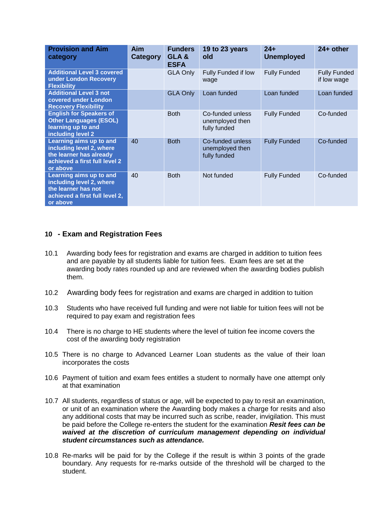| <b>Provision and Aim</b><br>category                                                                                               | <b>Aim</b><br>Category | <b>Funders</b><br>GLA&<br><b>ESFA</b> | 19 to 23 years<br>old                               | $24+$<br><b>Unemployed</b> | $24+$ other                        |
|------------------------------------------------------------------------------------------------------------------------------------|------------------------|---------------------------------------|-----------------------------------------------------|----------------------------|------------------------------------|
| <b>Additional Level 3 covered</b><br>under London Recovery<br><b>Flexibility</b>                                                   |                        | <b>GLA Only</b>                       | Fully Funded if low<br>wage                         | <b>Fully Funded</b>        | <b>Fully Funded</b><br>if low wage |
| <b>Additional Level 3 not</b><br>covered under London<br><b>Recovery Flexibility</b>                                               |                        | <b>GLA Only</b>                       | Loan funded                                         | Loan funded                | Loan funded                        |
| <b>English for Speakers of</b><br><b>Other Languages (ESOL)</b><br>learning up to and<br>including level 2                         |                        | <b>Both</b>                           | Co-funded unless<br>unemployed then<br>fully funded | <b>Fully Funded</b>        | Co-funded                          |
| <b>Learning aims up to and</b><br>including level 2, where<br>the learner has already<br>achieved a first full level 2<br>or above | 40                     | <b>Both</b>                           | Co-funded unless<br>unemployed then<br>fully funded | <b>Fully Funded</b>        | Co-funded                          |
| Learning aims up to and<br>including level 2, where<br>the learner has not<br>achieved a first full level 2,<br>or above           | 40                     | <b>Both</b>                           | Not funded                                          | <b>Fully Funded</b>        | Co-funded                          |

# **10 - Exam and Registration Fees**

- 10.1 Awarding body fees for registration and exams are charged in addition to tuition fees and are payable by all students liable for tuition fees. Exam fees are set at the awarding body rates rounded up and are reviewed when the awarding bodies publish them.
- 10.2 Awarding body fees for registration and exams are charged in addition to tuition
- 10.3 Students who have received full funding and were not liable for tuition fees will not be required to pay exam and registration fees
- 10.4 There is no charge to HE students where the level of tuition fee income covers the cost of the awarding body registration
- 10.5 There is no charge to Advanced Learner Loan students as the value of their loan incorporates the costs
- 10.6 Payment of tuition and exam fees entitles a student to normally have one attempt only at that examination
- 10.7 All students, regardless of status or age, will be expected to pay to resit an examination, or unit of an examination where the Awarding body makes a charge for resits and also any additional costs that may be incurred such as scribe, reader, invigilation. This must be paid before the College re-enters the student for the examination *Resit fees can be waived at the discretion of curriculum management depending on individual student circumstances such as attendance.*
- 10.8 Re-marks will be paid for by the College if the result is within 3 points of the grade boundary. Any requests for re-marks outside of the threshold will be charged to the student.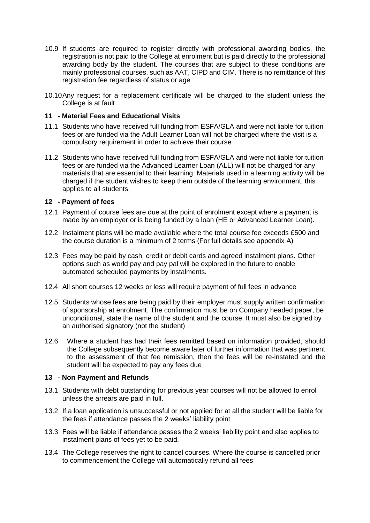- 10.9 If students are required to register directly with professional awarding bodies, the registration is not paid to the College at enrolment but is paid directly to the professional awarding body by the student. The courses that are subject to these conditions are mainly professional courses, such as AAT, CIPD and CIM. There is no remittance of this registration fee regardless of status or age
- 10.10Any request for a replacement certificate will be charged to the student unless the College is at fault

#### **11 - Material Fees and Educational Visits**

- 11.1 Students who have received full funding from ESFA/GLA and were not liable for tuition fees or are funded via the Adult Learner Loan will not be charged where the visit is a compulsory requirement in order to achieve their course
- 11.2 Students who have received full funding from ESFA/GLA and were not liable for tuition fees or are funded via the Advanced Learner Loan (ALL) will not be charged for any materials that are essential to their learning. Materials used in a learning activity will be charged if the student wishes to keep them outside of the learning environment, this applies to all students.

#### **12 - Payment of fees**

- 12.1 Payment of course fees are due at the point of enrolment except where a payment is made by an employer or is being funded by a loan (HE or Advanced Learner Loan).
- 12.2 Instalment plans will be made available where the total course fee exceeds £500 and the course duration is a minimum of 2 terms (For full details see appendix A)
- 12.3 Fees may be paid by cash, credit or debit cards and agreed instalment plans. Other options such as world pay and pay pal will be explored in the future to enable automated scheduled payments by instalments.
- 12.4 All short courses 12 weeks or less will require payment of full fees in advance
- 12.5 Students whose fees are being paid by their employer must supply written confirmation of sponsorship at enrolment. The confirmation must be on Company headed paper, be unconditional, state the name of the student and the course. It must also be signed by an authorised signatory (not the student)
- 12.6 Where a student has had their fees remitted based on information provided, should the College subsequently become aware later of further information that was pertinent to the assessment of that fee remission, then the fees will be re-instated and the student will be expected to pay any fees due

#### **13 - Non Payment and Refunds**

- 13.1 Students with debt outstanding for previous year courses will not be allowed to enrol unless the arrears are paid in full.
- 13.2 If a loan application is unsuccessful or not applied for at all the student will be liable for the fees if attendance passes the 2 weeks' liability point
- 13.3 Fees will be liable if attendance passes the 2 weeks' liability point and also applies to instalment plans of fees yet to be paid.
- 13.4 The College reserves the right to cancel courses. Where the course is cancelled prior to commencement the College will automatically refund all fees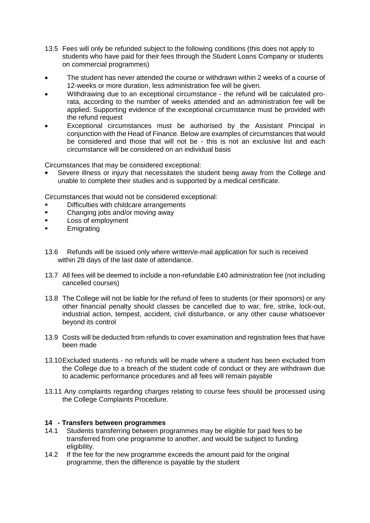- 13.5 Fees will only be refunded subject to the following conditions (this does not apply to students who have paid for their fees through the Student Loans Company or students on commercial programmes)
- The student has never attended the course or withdrawn within 2 weeks of a course of 12-weeks or more duration, less administration fee will be given.
- Withdrawing due to an exceptional circumstance the refund will be calculated prorata, according to the number of weeks attended and an administration fee will be applied. Supporting evidence of the exceptional circumstance must be provided with the refund request
- Exceptional circumstances must be authorised by the Assistant Principal in conjunction with the Head of Finance. Below are examples of circumstances that would be considered and those that will not be - this is not an exclusive list and each circumstance will be considered on an individual basis

Circumstances that may be considered exceptional:

 Severe illness or injury that necessitates the student being away from the College and unable to complete their studies and is supported by a medical certificate.

Circumstances that would not be considered exceptional:

- Difficulties with childcare arrangements
- Changing jobs and/or moving away
- **Loss of employment**
- **Emigrating**
- 13.6 Refunds will be issued only where written/e-mail application for such is received within 28 days of the last date of attendance.
- 13.7 All fees will be deemed to include a non-refundable £40 administration fee (not including cancelled courses)
- 13.8 The College will not be liable for the refund of fees to students (or their sponsors) or any other financial penalty should classes be cancelled due to war, fire, strike, lock-out, industrial action, tempest, accident, civil disturbance, or any other cause whatsoever beyond its control
- 13.9 Costs will be deducted from refunds to cover examination and registration fees that have been made
- 13.10Excluded students no refunds will be made where a student has been excluded from the College due to a breach of the student code of conduct or they are withdrawn due to academic performance procedures and all fees will remain payable
- 13.11 Any complaints regarding charges relating to course fees should be processed using the College Complaints Procedure.

#### **14 - Transfers between programmes**

- 14.1 Students transferring between programmes may be eligible for paid fees to be transferred from one programme to another, and would be subject to funding eligibility.
- 14.2 If the fee for the new programme exceeds the amount paid for the original programme, then the difference is payable by the student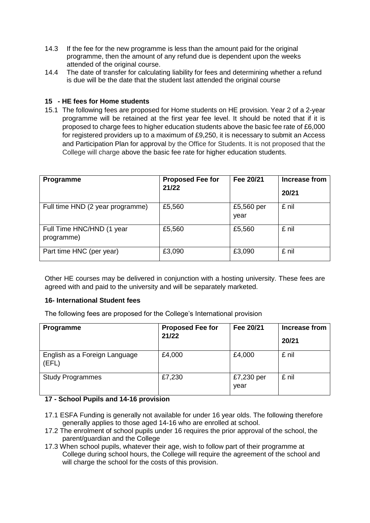- 14.3 If the fee for the new programme is less than the amount paid for the original programme, then the amount of any refund due is dependent upon the weeks attended of the original course.
- 14.4 The date of transfer for calculating liability for fees and determining whether a refund is due will be the date that the student last attended the original course

## **15 - HE fees for Home students**

15.1 The following fees are proposed for Home students on HE provision. Year 2 of a 2-year programme will be retained at the first year fee level. It should be noted that if it is proposed to charge fees to higher education students above the basic fee rate of £6,000 for registered providers up to a maximum of £9,250, it is necessary to submit an Access and Participation Plan for approval by the Office for Students. It is not proposed that the College will charge above the basic fee rate for higher education students.

| Programme                               | <b>Proposed Fee for</b><br>21/22 | Fee 20/21          | Increase from<br>20/21 |
|-----------------------------------------|----------------------------------|--------------------|------------------------|
| Full time HND (2 year programme)        | £5,560                           | £5,560 per<br>year | £ nil                  |
| Full Time HNC/HND (1 year<br>programme) | £5,560                           | £5,560             | £ nil                  |
| Part time HNC (per year)                | £3,090                           | £3,090             | £ nil                  |

Other HE courses may be delivered in conjunction with a hosting university. These fees are agreed with and paid to the university and will be separately marketed.

#### **16- International Student fees**

The following fees are proposed for the College's International provision

| <b>Programme</b>                       | <b>Proposed Fee for</b><br>21/22 | Fee 20/21          | Increase from<br>20/21 |
|----------------------------------------|----------------------------------|--------------------|------------------------|
| English as a Foreign Language<br>(EFL) | £4,000                           | £4,000             | £ nil                  |
| <b>Study Programmes</b>                | £7,230                           | £7,230 per<br>year | £ nil                  |

## **17 - School Pupils and 14-16 provision**

- 17.1 ESFA Funding is generally not available for under 16 year olds. The following therefore generally applies to those aged 14-16 who are enrolled at school.
- 17.2 The enrolment of school pupils under 16 requires the prior approval of the school, the parent/guardian and the College
- 17.3 When school pupils, whatever their age, wish to follow part of their programme at College during school hours, the College will require the agreement of the school and will charge the school for the costs of this provision.